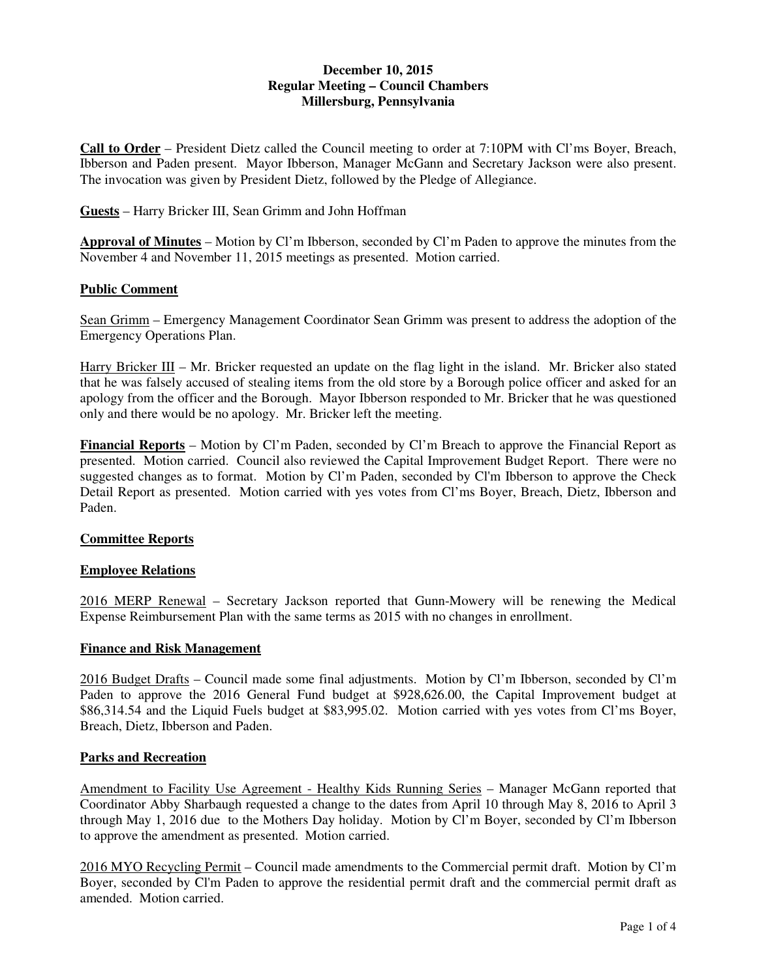## **December 10, 2015 Regular Meeting – Council Chambers Millersburg, Pennsylvania**

**Call to Order** – President Dietz called the Council meeting to order at 7:10PM with Cl'ms Boyer, Breach, Ibberson and Paden present. Mayor Ibberson, Manager McGann and Secretary Jackson were also present. The invocation was given by President Dietz, followed by the Pledge of Allegiance.

**Guests** – Harry Bricker III, Sean Grimm and John Hoffman

**Approval of Minutes** – Motion by Cl'm Ibberson, seconded by Cl'm Paden to approve the minutes from the November 4 and November 11, 2015 meetings as presented. Motion carried.

## **Public Comment**

Sean Grimm – Emergency Management Coordinator Sean Grimm was present to address the adoption of the Emergency Operations Plan.

Harry Bricker III – Mr. Bricker requested an update on the flag light in the island. Mr. Bricker also stated that he was falsely accused of stealing items from the old store by a Borough police officer and asked for an apology from the officer and the Borough. Mayor Ibberson responded to Mr. Bricker that he was questioned only and there would be no apology. Mr. Bricker left the meeting.

**Financial Reports** – Motion by Cl'm Paden, seconded by Cl'm Breach to approve the Financial Report as presented. Motion carried. Council also reviewed the Capital Improvement Budget Report. There were no suggested changes as to format. Motion by Cl'm Paden, seconded by Cl'm Ibberson to approve the Check Detail Report as presented. Motion carried with yes votes from Cl'ms Boyer, Breach, Dietz, Ibberson and Paden.

## **Committee Reports**

## **Employee Relations**

2016 MERP Renewal – Secretary Jackson reported that Gunn-Mowery will be renewing the Medical Expense Reimbursement Plan with the same terms as 2015 with no changes in enrollment.

## **Finance and Risk Management**

2016 Budget Drafts – Council made some final adjustments. Motion by Cl'm Ibberson, seconded by Cl'm Paden to approve the 2016 General Fund budget at \$928,626.00, the Capital Improvement budget at \$86,314.54 and the Liquid Fuels budget at \$83,995.02. Motion carried with yes votes from Cl'ms Boyer, Breach, Dietz, Ibberson and Paden.

## **Parks and Recreation**

Amendment to Facility Use Agreement - Healthy Kids Running Series – Manager McGann reported that Coordinator Abby Sharbaugh requested a change to the dates from April 10 through May 8, 2016 to April 3 through May 1, 2016 due to the Mothers Day holiday. Motion by Cl'm Boyer, seconded by Cl'm Ibberson to approve the amendment as presented. Motion carried.

2016 MYO Recycling Permit – Council made amendments to the Commercial permit draft. Motion by Cl'm Boyer, seconded by Cl'm Paden to approve the residential permit draft and the commercial permit draft as amended. Motion carried.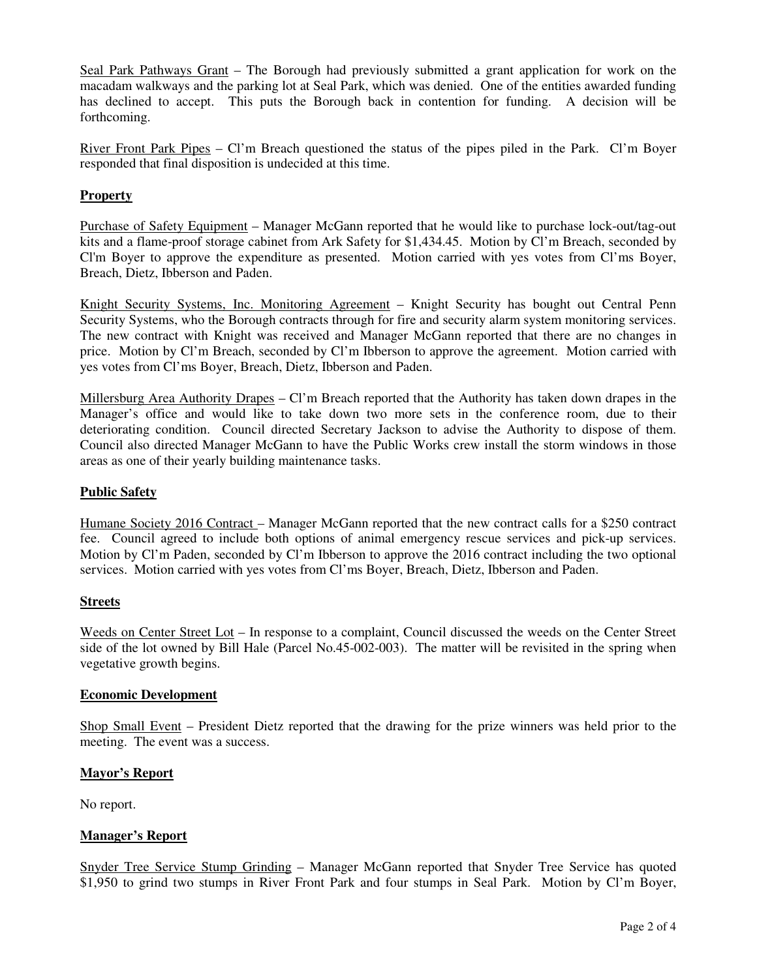Seal Park Pathways Grant – The Borough had previously submitted a grant application for work on the macadam walkways and the parking lot at Seal Park, which was denied. One of the entities awarded funding has declined to accept. This puts the Borough back in contention for funding. A decision will be forthcoming.

River Front Park Pipes – Cl'm Breach questioned the status of the pipes piled in the Park. Cl'm Boyer responded that final disposition is undecided at this time.

# **Property**

Purchase of Safety Equipment – Manager McGann reported that he would like to purchase lock-out/tag-out kits and a flame-proof storage cabinet from Ark Safety for \$1,434.45. Motion by Cl'm Breach, seconded by Cl'm Boyer to approve the expenditure as presented. Motion carried with yes votes from Cl'ms Boyer, Breach, Dietz, Ibberson and Paden.

Knight Security Systems, Inc. Monitoring Agreement – Knight Security has bought out Central Penn Security Systems, who the Borough contracts through for fire and security alarm system monitoring services. The new contract with Knight was received and Manager McGann reported that there are no changes in price. Motion by Cl'm Breach, seconded by Cl'm Ibberson to approve the agreement. Motion carried with yes votes from Cl'ms Boyer, Breach, Dietz, Ibberson and Paden.

Millersburg Area Authority Drapes – Cl'm Breach reported that the Authority has taken down drapes in the Manager's office and would like to take down two more sets in the conference room, due to their deteriorating condition. Council directed Secretary Jackson to advise the Authority to dispose of them. Council also directed Manager McGann to have the Public Works crew install the storm windows in those areas as one of their yearly building maintenance tasks.

## **Public Safety**

Humane Society 2016 Contract – Manager McGann reported that the new contract calls for a \$250 contract fee. Council agreed to include both options of animal emergency rescue services and pick-up services. Motion by Cl'm Paden, seconded by Cl'm Ibberson to approve the 2016 contract including the two optional services. Motion carried with yes votes from Cl'ms Boyer, Breach, Dietz, Ibberson and Paden.

## **Streets**

Weeds on Center Street Lot – In response to a complaint, Council discussed the weeds on the Center Street side of the lot owned by Bill Hale (Parcel No.45-002-003). The matter will be revisited in the spring when vegetative growth begins.

#### **Economic Development**

Shop Small Event – President Dietz reported that the drawing for the prize winners was held prior to the meeting. The event was a success.

## **Mayor's Report**

No report.

## **Manager's Report**

Snyder Tree Service Stump Grinding – Manager McGann reported that Snyder Tree Service has quoted \$1,950 to grind two stumps in River Front Park and four stumps in Seal Park. Motion by Cl'm Boyer,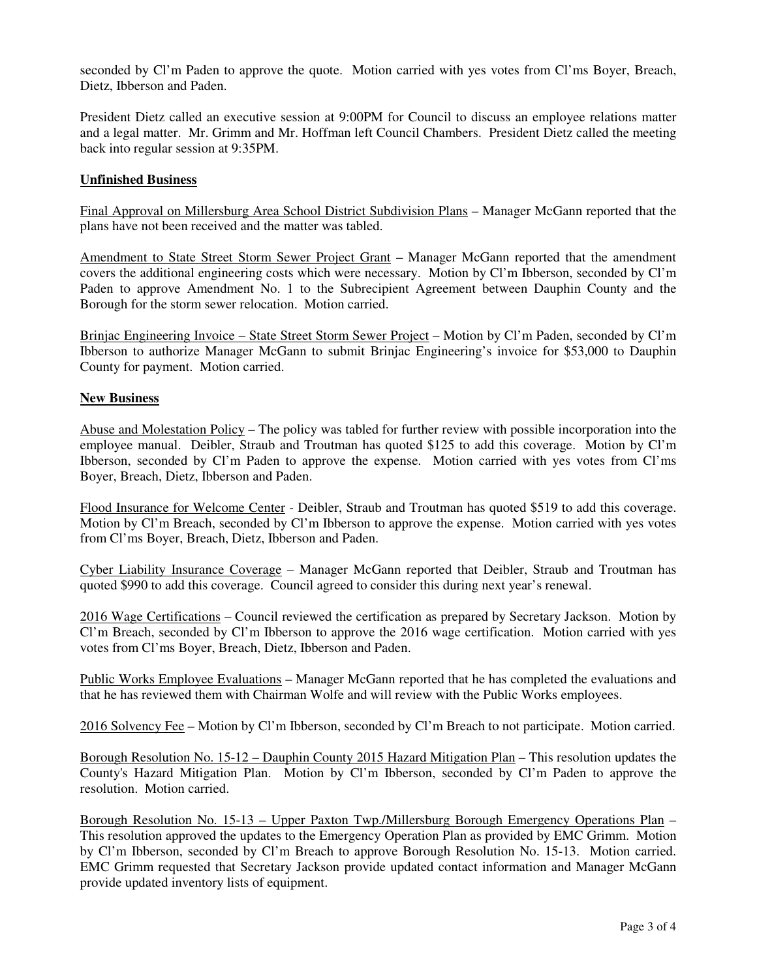seconded by Cl'm Paden to approve the quote. Motion carried with yes votes from Cl'ms Boyer, Breach, Dietz, Ibberson and Paden.

President Dietz called an executive session at 9:00PM for Council to discuss an employee relations matter and a legal matter. Mr. Grimm and Mr. Hoffman left Council Chambers. President Dietz called the meeting back into regular session at 9:35PM.

# **Unfinished Business**

Final Approval on Millersburg Area School District Subdivision Plans – Manager McGann reported that the plans have not been received and the matter was tabled.

Amendment to State Street Storm Sewer Project Grant – Manager McGann reported that the amendment covers the additional engineering costs which were necessary. Motion by Cl'm Ibberson, seconded by Cl'm Paden to approve Amendment No. 1 to the Subrecipient Agreement between Dauphin County and the Borough for the storm sewer relocation. Motion carried.

Brinjac Engineering Invoice – State Street Storm Sewer Project – Motion by Cl'm Paden, seconded by Cl'm Ibberson to authorize Manager McGann to submit Brinjac Engineering's invoice for \$53,000 to Dauphin County for payment. Motion carried.

## **New Business**

Abuse and Molestation Policy – The policy was tabled for further review with possible incorporation into the employee manual. Deibler, Straub and Troutman has quoted \$125 to add this coverage. Motion by Cl'm Ibberson, seconded by Cl'm Paden to approve the expense. Motion carried with yes votes from Cl'ms Boyer, Breach, Dietz, Ibberson and Paden.

Flood Insurance for Welcome Center - Deibler, Straub and Troutman has quoted \$519 to add this coverage. Motion by Cl'm Breach, seconded by Cl'm Ibberson to approve the expense. Motion carried with yes votes from Cl'ms Boyer, Breach, Dietz, Ibberson and Paden.

Cyber Liability Insurance Coverage – Manager McGann reported that Deibler, Straub and Troutman has quoted \$990 to add this coverage. Council agreed to consider this during next year's renewal.

2016 Wage Certifications – Council reviewed the certification as prepared by Secretary Jackson. Motion by Cl'm Breach, seconded by Cl'm Ibberson to approve the 2016 wage certification. Motion carried with yes votes from Cl'ms Boyer, Breach, Dietz, Ibberson and Paden.

Public Works Employee Evaluations – Manager McGann reported that he has completed the evaluations and that he has reviewed them with Chairman Wolfe and will review with the Public Works employees.

2016 Solvency Fee – Motion by Cl'm Ibberson, seconded by Cl'm Breach to not participate. Motion carried.

Borough Resolution No. 15-12 – Dauphin County 2015 Hazard Mitigation Plan – This resolution updates the County's Hazard Mitigation Plan. Motion by Cl'm Ibberson, seconded by Cl'm Paden to approve the resolution. Motion carried.

Borough Resolution No. 15-13 – Upper Paxton Twp./Millersburg Borough Emergency Operations Plan – This resolution approved the updates to the Emergency Operation Plan as provided by EMC Grimm. Motion by Cl'm Ibberson, seconded by Cl'm Breach to approve Borough Resolution No. 15-13. Motion carried. EMC Grimm requested that Secretary Jackson provide updated contact information and Manager McGann provide updated inventory lists of equipment.